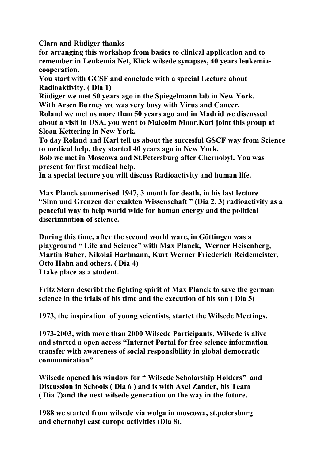**Clara and Rüdiger thanks**

**for arranging this workshop from basics to clinical application and to remember in Leukemia Net, Klick wilsede synapses, 40 years leukemiacooperation.** 

**You start with GCSF and conclude with a special Lecture about Radioaktivity. ( Dia 1)**

**Rüdiger we met 50 years ago in the Spiegelmann lab in New York. With Arsen Burney we was very busy with Virus and Cancer.**

**Roland we met us more than 50 years ago and in Madrid we discussed about a visit in USA, you went to Malcolm Moor.Karl joint this group at Sloan Kettering in New York.** 

**To day Roland and Karl tell us about the succesful GSCF way from Science to medical help, they started 40 years ago in New York.**

**Bob we met in Moscowa and St.Petersburg after Chernobyl. You was present for first medical help.**

**In a special lecture you will discuss Radioactivity and human life.**

**Max Planck summerised 1947, 3 month for death, in his last lecture "Sinn und Grenzen der exakten Wissenschaft " (Dia 2, 3) radioactivity as a peaceful way to help world wide for human energy and the political discrimnation of science.**

**During this time, after the second world ware, in Göttingen was a playground " Life and Science" with Max Planck, Werner Heisenberg, Martin Buber, Nikolai Hartmann, Kurt Werner Friederich Reidemeister, Otto Hahn and others. ( Dia 4) I take place as a student.**

**Fritz Stern describt the fighting spirit of Max Planck to save the german science in the trials of his time and the execution of his son ( Dia 5)**

**1973, the inspiration of young scientists, startet the Wilsede Meetings.**

**1973-2003, with more than 2000 Wilsede Participants, Wilsede is alive and started a open access "Internet Portal for free science information transfer with awareness of social responsibility in global democratic communication"**

**Wilsede opened his window for " Wilsede Scholarship Holders" and Discussion in Schools ( Dia 6 ) and is with Axel Zander, his Team ( Dia 7)and the next wilsede generation on the way in the future.** 

**1988 we started from wilsede via wolga in moscowa, st.petersburg and chernobyl east europe activities (Dia 8).**